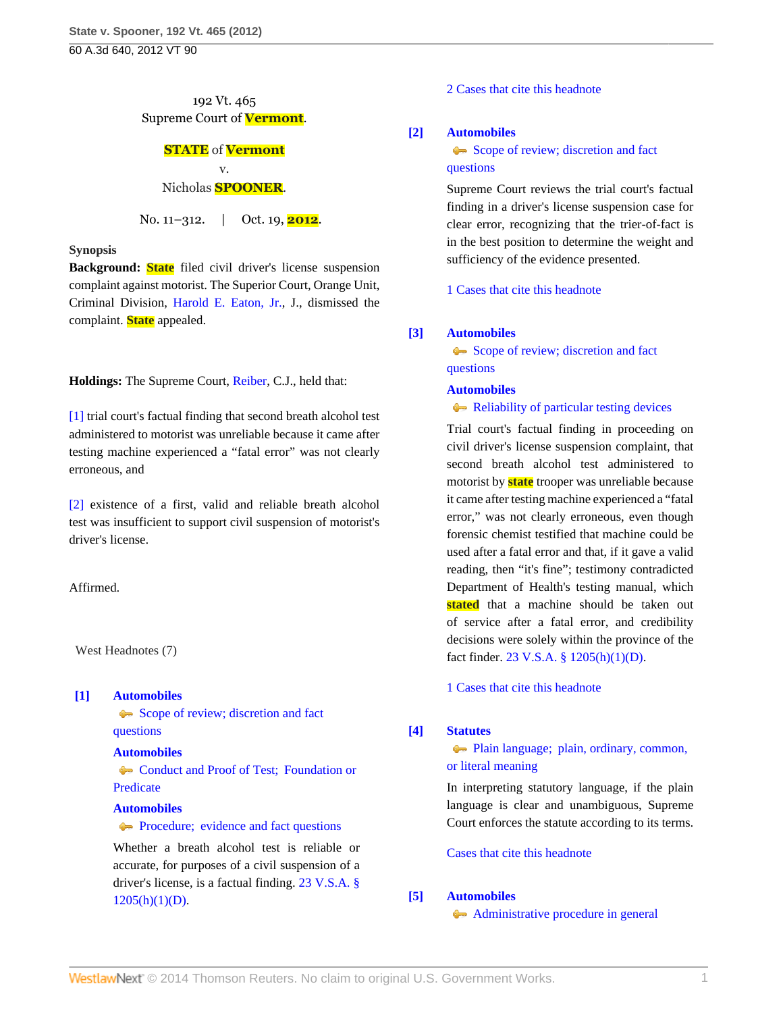# 192 Vt. 465 Supreme Court of **Vermont**.

### **STATE** of **Vermont** v.

# Nicholas **SPOONER**.

No. 11–312. | Oct. 19, **2012**.

### **Synopsis**

**Background: State** filed civil driver's license suspension complaint against motorist. The Superior Court, Orange Unit, Criminal Division, [Harold E. Eaton, Jr.,](http://www.westlaw.com/Link/Document/FullText?findType=h&pubNum=176284&cite=0130714105&originatingDoc=Ida65e22e1a1d11e2b60bb297d3d07bc5&refType=RQ&originationContext=document&vr=3.0&rs=cblt1.0&transitionType=DocumentItem&contextData=(sc.Search)) J., dismissed the complaint. **State** appealed.

**Holdings:** The Supreme Court, [Reiber,](http://www.westlaw.com/Link/Document/FullText?findType=h&pubNum=176284&cite=0141970501&originatingDoc=Ida65e22e1a1d11e2b60bb297d3d07bc5&refType=RQ&originationContext=document&vr=3.0&rs=cblt1.0&transitionType=DocumentItem&contextData=(sc.Search)) C.J., held that:

[\[1\]](#page-0-0) trial court's factual finding that second breath alcohol test administered to motorist was unreliable because it came after testing machine experienced a "fatal error" was not clearly erroneous, and

[\[2\]](#page-1-0) existence of a first, valid and reliable breath alcohol test was insufficient to support civil suspension of motorist's driver's license.

Affirmed.

West Headnotes (7)

# <span id="page-0-1"></span>**[\[1\]](#page-2-0) [Automobiles](http://www.westlaw.com/Browse/Home/KeyNumber/48A/View.html?docGuid=Ida65e22e1a1d11e2b60bb297d3d07bc5&originationContext=document&vr=3.0&rs=cblt1.0&transitionType=DocumentItem&contextData=(sc.Search))**

[Scope of review; discretion and fact](http://www.westlaw.com/Browse/Home/KeyNumber/48Ak144.2(3)/View.html?docGuid=Ida65e22e1a1d11e2b60bb297d3d07bc5&originationContext=document&vr=3.0&rs=cblt1.0&transitionType=DocumentItem&contextData=(sc.Search)) [questions](http://www.westlaw.com/Browse/Home/KeyNumber/48Ak144.2(3)/View.html?docGuid=Ida65e22e1a1d11e2b60bb297d3d07bc5&originationContext=document&vr=3.0&rs=cblt1.0&transitionType=DocumentItem&contextData=(sc.Search))

# **[Automobiles](http://www.westlaw.com/Browse/Home/KeyNumber/48A/View.html?docGuid=Ida65e22e1a1d11e2b60bb297d3d07bc5&originationContext=document&vr=3.0&rs=cblt1.0&transitionType=DocumentItem&contextData=(sc.Search))**

Conduct and Proof of Test: Foundation or [Predicate](http://www.westlaw.com/Browse/Home/KeyNumber/48Ak422/View.html?docGuid=Ida65e22e1a1d11e2b60bb297d3d07bc5&originationContext=document&vr=3.0&rs=cblt1.0&transitionType=DocumentItem&contextData=(sc.Search))

# **[Automobiles](http://www.westlaw.com/Browse/Home/KeyNumber/48A/View.html?docGuid=Ida65e22e1a1d11e2b60bb297d3d07bc5&originationContext=document&vr=3.0&rs=cblt1.0&transitionType=DocumentItem&contextData=(sc.Search))**

**[Procedure; evidence and fact questions](http://www.westlaw.com/Browse/Home/KeyNumber/48Ak426/View.html?docGuid=Ida65e22e1a1d11e2b60bb297d3d07bc5&originationContext=document&vr=3.0&rs=cblt1.0&transitionType=DocumentItem&contextData=(sc.Search))** 

Whether a breath alcohol test is reliable or accurate, for purposes of a civil suspension of a driver's license, is a factual finding. [23 V.S.A. §](http://www.westlaw.com/Link/Document/FullText?findType=L&pubNum=1000883&cite=VTST23S1205&originatingDoc=Ida65e22e1a1d11e2b60bb297d3d07bc5&refType=SP&originationContext=document&vr=3.0&rs=cblt1.0&transitionType=DocumentItem&contextData=(sc.Search)#co_pp_b4e500006fdf6)  $1205(h)(1)(D)$ .

[2 Cases that cite this headnote](http://www.westlaw.com/Link/RelatedInformation/DocHeadnoteLink?docGuid=Ida65e22e1a1d11e2b60bb297d3d07bc5&headnoteId=202891996100120131110080755&originationContext=document&vr=3.0&rs=cblt1.0&transitionType=CitingReferences&contextData=(sc.Search))

### <span id="page-0-2"></span>**[\[2\]](#page-2-1) [Automobiles](http://www.westlaw.com/Browse/Home/KeyNumber/48A/View.html?docGuid=Ida65e22e1a1d11e2b60bb297d3d07bc5&originationContext=document&vr=3.0&rs=cblt1.0&transitionType=DocumentItem&contextData=(sc.Search))**

[Scope of review; discretion and fact](http://www.westlaw.com/Browse/Home/KeyNumber/48Ak144.2(3)/View.html?docGuid=Ida65e22e1a1d11e2b60bb297d3d07bc5&originationContext=document&vr=3.0&rs=cblt1.0&transitionType=DocumentItem&contextData=(sc.Search)) [questions](http://www.westlaw.com/Browse/Home/KeyNumber/48Ak144.2(3)/View.html?docGuid=Ida65e22e1a1d11e2b60bb297d3d07bc5&originationContext=document&vr=3.0&rs=cblt1.0&transitionType=DocumentItem&contextData=(sc.Search))

Supreme Court reviews the trial court's factual finding in a driver's license suspension case for clear error, recognizing that the trier-of-fact is in the best position to determine the weight and sufficiency of the evidence presented.

[1 Cases that cite this headnote](http://www.westlaw.com/Link/RelatedInformation/DocHeadnoteLink?docGuid=Ida65e22e1a1d11e2b60bb297d3d07bc5&headnoteId=202891996100220131110080755&originationContext=document&vr=3.0&rs=cblt1.0&transitionType=CitingReferences&contextData=(sc.Search))

# <span id="page-0-0"></span>**[\[3\]](#page-2-2) [Automobiles](http://www.westlaw.com/Browse/Home/KeyNumber/48A/View.html?docGuid=Ida65e22e1a1d11e2b60bb297d3d07bc5&originationContext=document&vr=3.0&rs=cblt1.0&transitionType=DocumentItem&contextData=(sc.Search))**

[Scope of review; discretion and fact](http://www.westlaw.com/Browse/Home/KeyNumber/48Ak144.2(3)/View.html?docGuid=Ida65e22e1a1d11e2b60bb297d3d07bc5&originationContext=document&vr=3.0&rs=cblt1.0&transitionType=DocumentItem&contextData=(sc.Search)) [questions](http://www.westlaw.com/Browse/Home/KeyNumber/48Ak144.2(3)/View.html?docGuid=Ida65e22e1a1d11e2b60bb297d3d07bc5&originationContext=document&vr=3.0&rs=cblt1.0&transitionType=DocumentItem&contextData=(sc.Search))

### **[Automobiles](http://www.westlaw.com/Browse/Home/KeyNumber/48A/View.html?docGuid=Ida65e22e1a1d11e2b60bb297d3d07bc5&originationContext=document&vr=3.0&rs=cblt1.0&transitionType=DocumentItem&contextData=(sc.Search))**

### [Reliability of particular testing devices](http://www.westlaw.com/Browse/Home/KeyNumber/48Ak424/View.html?docGuid=Ida65e22e1a1d11e2b60bb297d3d07bc5&originationContext=document&vr=3.0&rs=cblt1.0&transitionType=DocumentItem&contextData=(sc.Search))

Trial court's factual finding in proceeding on civil driver's license suspension complaint, that second breath alcohol test administered to motorist by **state** trooper was unreliable because it came after testing machine experienced a "fatal error," was not clearly erroneous, even though forensic chemist testified that machine could be used after a fatal error and that, if it gave a valid reading, then "it's fine"; testimony contradicted Department of Health's testing manual, which stated that a machine should be taken out of service after a fatal error, and credibility decisions were solely within the province of the fact finder. [23 V.S.A. § 1205\(h\)\(1\)\(D\)](http://www.westlaw.com/Link/Document/FullText?findType=L&pubNum=1000883&cite=VTST23S1205&originatingDoc=Ida65e22e1a1d11e2b60bb297d3d07bc5&refType=SP&originationContext=document&vr=3.0&rs=cblt1.0&transitionType=DocumentItem&contextData=(sc.Search)#co_pp_b4e500006fdf6).

[1 Cases that cite this headnote](http://www.westlaw.com/Link/RelatedInformation/DocHeadnoteLink?docGuid=Ida65e22e1a1d11e2b60bb297d3d07bc5&headnoteId=202891996100320131110080755&originationContext=document&vr=3.0&rs=cblt1.0&transitionType=CitingReferences&contextData=(sc.Search))

# <span id="page-0-3"></span>**[\[4\]](#page-3-0) [Statutes](http://www.westlaw.com/Browse/Home/KeyNumber/361/View.html?docGuid=Ida65e22e1a1d11e2b60bb297d3d07bc5&originationContext=document&vr=3.0&rs=cblt1.0&transitionType=DocumentItem&contextData=(sc.Search))**

[Plain language; plain, ordinary, common,](http://www.westlaw.com/Browse/Home/KeyNumber/361k1111/View.html?docGuid=Ida65e22e1a1d11e2b60bb297d3d07bc5&originationContext=document&vr=3.0&rs=cblt1.0&transitionType=DocumentItem&contextData=(sc.Search)) [or literal meaning](http://www.westlaw.com/Browse/Home/KeyNumber/361k1111/View.html?docGuid=Ida65e22e1a1d11e2b60bb297d3d07bc5&originationContext=document&vr=3.0&rs=cblt1.0&transitionType=DocumentItem&contextData=(sc.Search))

In interpreting statutory language, if the plain language is clear and unambiguous, Supreme Court enforces the statute according to its terms.

[Cases that cite this headnote](http://www.westlaw.com/Link/RelatedInformation/DocHeadnoteLink?docGuid=Ida65e22e1a1d11e2b60bb297d3d07bc5&headnoteId=202891996100420131110080755&originationContext=document&vr=3.0&rs=cblt1.0&transitionType=CitingReferences&contextData=(sc.Search))

# <span id="page-0-4"></span>**[\[5\]](#page-3-1) [Automobiles](http://www.westlaw.com/Browse/Home/KeyNumber/48A/View.html?docGuid=Ida65e22e1a1d11e2b60bb297d3d07bc5&originationContext=document&vr=3.0&rs=cblt1.0&transitionType=DocumentItem&contextData=(sc.Search))**

[Administrative procedure in general](http://www.westlaw.com/Browse/Home/KeyNumber/48Ak144.2(1)/View.html?docGuid=Ida65e22e1a1d11e2b60bb297d3d07bc5&originationContext=document&vr=3.0&rs=cblt1.0&transitionType=DocumentItem&contextData=(sc.Search))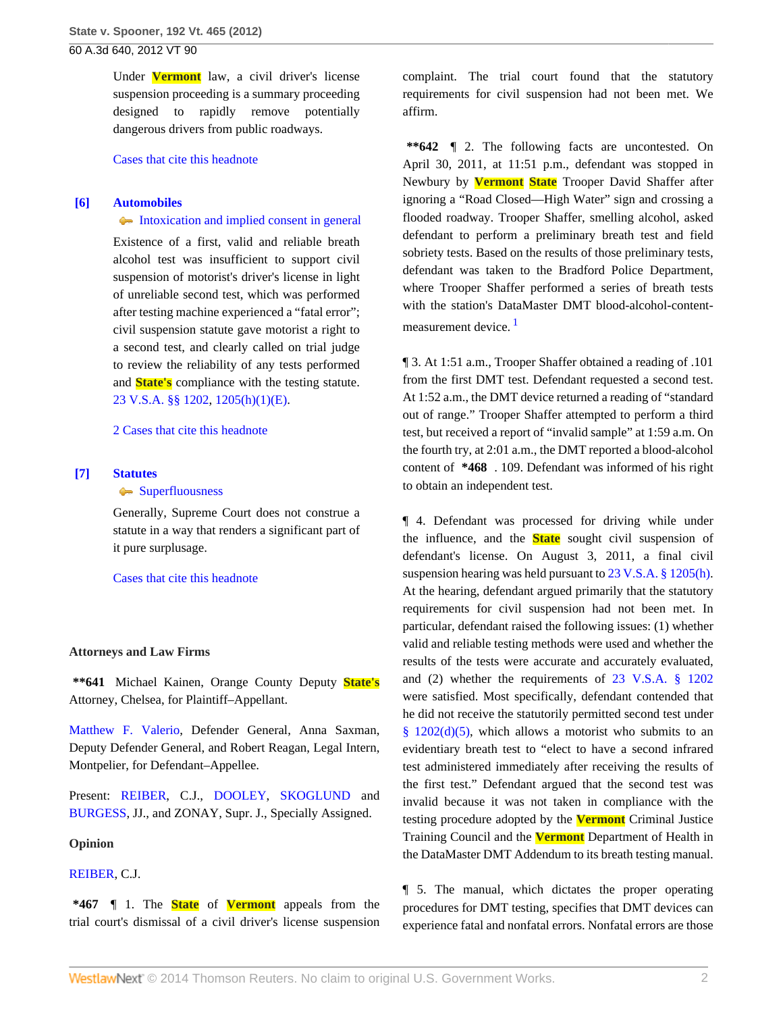Under **Vermont** law, a civil driver's license suspension proceeding is a summary proceeding designed to rapidly remove potentially dangerous drivers from public roadways.

[Cases that cite this headnote](http://www.westlaw.com/Link/RelatedInformation/DocHeadnoteLink?docGuid=Ida65e22e1a1d11e2b60bb297d3d07bc5&headnoteId=202891996100520131110080755&originationContext=document&vr=3.0&rs=cblt1.0&transitionType=CitingReferences&contextData=(sc.Search))

### <span id="page-1-0"></span>**[\[6\]](#page-3-2) [Automobiles](http://www.westlaw.com/Browse/Home/KeyNumber/48A/View.html?docGuid=Ida65e22e1a1d11e2b60bb297d3d07bc5&originationContext=document&vr=3.0&rs=cblt1.0&transitionType=DocumentItem&contextData=(sc.Search))**

[Intoxication and implied consent in general](http://www.westlaw.com/Browse/Home/KeyNumber/48Ak144.2(10.2)/View.html?docGuid=Ida65e22e1a1d11e2b60bb297d3d07bc5&originationContext=document&vr=3.0&rs=cblt1.0&transitionType=DocumentItem&contextData=(sc.Search))

Existence of a first, valid and reliable breath alcohol test was insufficient to support civil suspension of motorist's driver's license in light of unreliable second test, which was performed after testing machine experienced a "fatal error"; civil suspension statute gave motorist a right to a second test, and clearly called on trial judge to review the reliability of any tests performed and **State's** compliance with the testing statute. [23 V.S.A. §§ 1202,](http://www.westlaw.com/Link/Document/FullText?findType=L&pubNum=1000883&cite=VTST23S1202&originatingDoc=Ida65e22e1a1d11e2b60bb297d3d07bc5&refType=LQ&originationContext=document&vr=3.0&rs=cblt1.0&transitionType=DocumentItem&contextData=(sc.Search)) [1205\(h\)\(1\)\(E\).](http://www.westlaw.com/Link/Document/FullText?findType=L&pubNum=1000883&cite=VTST23S1205&originatingDoc=Ida65e22e1a1d11e2b60bb297d3d07bc5&refType=SP&originationContext=document&vr=3.0&rs=cblt1.0&transitionType=DocumentItem&contextData=(sc.Search)#co_pp_b4e500006fdf6)

[2 Cases that cite this headnote](http://www.westlaw.com/Link/RelatedInformation/DocHeadnoteLink?docGuid=Ida65e22e1a1d11e2b60bb297d3d07bc5&headnoteId=202891996100620131110080755&originationContext=document&vr=3.0&rs=cblt1.0&transitionType=CitingReferences&contextData=(sc.Search))

#### <span id="page-1-1"></span>**[\[7\]](#page-3-3) [Statutes](http://www.westlaw.com/Browse/Home/KeyNumber/361/View.html?docGuid=Ida65e22e1a1d11e2b60bb297d3d07bc5&originationContext=document&vr=3.0&rs=cblt1.0&transitionType=DocumentItem&contextData=(sc.Search))**

[Superfluousness](http://www.westlaw.com/Browse/Home/KeyNumber/361k1156/View.html?docGuid=Ida65e22e1a1d11e2b60bb297d3d07bc5&originationContext=document&vr=3.0&rs=cblt1.0&transitionType=DocumentItem&contextData=(sc.Search))

Generally, Supreme Court does not construe a statute in a way that renders a significant part of it pure surplusage.

[Cases that cite this headnote](http://www.westlaw.com/Link/RelatedInformation/DocHeadnoteLink?docGuid=Ida65e22e1a1d11e2b60bb297d3d07bc5&headnoteId=202891996100720131110080755&originationContext=document&vr=3.0&rs=cblt1.0&transitionType=CitingReferences&contextData=(sc.Search))

#### **Attorneys and Law Firms**

**\*\*641** Michael Kainen, Orange County Deputy **State's** Attorney, Chelsea, for Plaintiff–Appellant.

[Matthew F. Valerio,](http://www.westlaw.com/Link/Document/FullText?findType=h&pubNum=176284&cite=0193914301&originatingDoc=Ida65e22e1a1d11e2b60bb297d3d07bc5&refType=RQ&originationContext=document&vr=3.0&rs=cblt1.0&transitionType=DocumentItem&contextData=(sc.Search)) Defender General, Anna Saxman, Deputy Defender General, and Robert Reagan, Legal Intern, Montpelier, for Defendant–Appellee.

Present: [REIBER](http://www.westlaw.com/Link/Document/FullText?findType=h&pubNum=176284&cite=0141970501&originatingDoc=Ida65e22e1a1d11e2b60bb297d3d07bc5&refType=RQ&originationContext=document&vr=3.0&rs=cblt1.0&transitionType=DocumentItem&contextData=(sc.Search)), C.J., [DOOLEY](http://www.westlaw.com/Link/Document/FullText?findType=h&pubNum=176284&cite=0264531601&originatingDoc=Ida65e22e1a1d11e2b60bb297d3d07bc5&refType=RQ&originationContext=document&vr=3.0&rs=cblt1.0&transitionType=DocumentItem&contextData=(sc.Search)), [SKOGLUND](http://www.westlaw.com/Link/Document/FullText?findType=h&pubNum=176284&cite=0197190101&originatingDoc=Ida65e22e1a1d11e2b60bb297d3d07bc5&refType=RQ&originationContext=document&vr=3.0&rs=cblt1.0&transitionType=DocumentItem&contextData=(sc.Search)) and [BURGESS](http://www.westlaw.com/Link/Document/FullText?findType=h&pubNum=176284&cite=0119873701&originatingDoc=Ida65e22e1a1d11e2b60bb297d3d07bc5&refType=RQ&originationContext=document&vr=3.0&rs=cblt1.0&transitionType=DocumentItem&contextData=(sc.Search)), JJ., and ZONAY, Supr. J., Specially Assigned.

#### **Opinion**

#### [REIBER,](http://www.westlaw.com/Link/Document/FullText?findType=h&pubNum=176284&cite=0141970501&originatingDoc=Ida65e22e1a1d11e2b60bb297d3d07bc5&refType=RQ&originationContext=document&vr=3.0&rs=cblt1.0&transitionType=DocumentItem&contextData=(sc.Search)) C.J.

**\*467** ¶ 1. The **State** of **Vermont** appeals from the trial court's dismissal of a civil driver's license suspension complaint. The trial court found that the statutory requirements for civil suspension had not been met. We affirm.

**\*\*642** ¶ 2. The following facts are uncontested. On April 30, 2011, at 11:51 p.m., defendant was stopped in Newbury by **Vermont State** Trooper David Shaffer after ignoring a "Road Closed—High Water" sign and crossing a flooded roadway. Trooper Shaffer, smelling alcohol, asked defendant to perform a preliminary breath test and field sobriety tests. Based on the results of those preliminary tests, defendant was taken to the Bradford Police Department, where Trooper Shaffer performed a series of breath tests with the station's DataMaster DMT blood-alcohol-content-measurement device.<sup>[1](#page-4-0)</sup>

<span id="page-1-2"></span>¶ 3. At 1:51 a.m., Trooper Shaffer obtained a reading of .101 from the first DMT test. Defendant requested a second test. At 1:52 a.m., the DMT device returned a reading of "standard out of range." Trooper Shaffer attempted to perform a third test, but received a report of "invalid sample" at 1:59 a.m. On the fourth try, at 2:01 a.m., the DMT reported a blood-alcohol content of **\*468** . 109. Defendant was informed of his right to obtain an independent test.

¶ 4. Defendant was processed for driving while under the influence, and the **State** sought civil suspension of defendant's license. On August 3, 2011, a final civil suspension hearing was held pursuant to [23 V.S.A. § 1205\(h\).](http://www.westlaw.com/Link/Document/FullText?findType=L&pubNum=1000883&cite=VTST23S1205&originatingDoc=Ida65e22e1a1d11e2b60bb297d3d07bc5&refType=SP&originationContext=document&vr=3.0&rs=cblt1.0&transitionType=DocumentItem&contextData=(sc.Search)#co_pp_f383000077b35) At the hearing, defendant argued primarily that the statutory requirements for civil suspension had not been met. In particular, defendant raised the following issues: (1) whether valid and reliable testing methods were used and whether the results of the tests were accurate and accurately evaluated, and (2) whether the requirements of [23 V.S.A. § 1202](http://www.westlaw.com/Link/Document/FullText?findType=L&pubNum=1000883&cite=VTST23S1202&originatingDoc=Ida65e22e1a1d11e2b60bb297d3d07bc5&refType=LQ&originationContext=document&vr=3.0&rs=cblt1.0&transitionType=DocumentItem&contextData=(sc.Search)) were satisfied. Most specifically, defendant contended that he did not receive the statutorily permitted second test under §  $1202(d)(5)$ , which allows a motorist who submits to an evidentiary breath test to "elect to have a second infrared test administered immediately after receiving the results of the first test." Defendant argued that the second test was invalid because it was not taken in compliance with the testing procedure adopted by the **Vermont** Criminal Justice Training Council and the **Vermont** Department of Health in the DataMaster DMT Addendum to its breath testing manual.

¶ 5. The manual, which dictates the proper operating procedures for DMT testing, specifies that DMT devices can experience fatal and nonfatal errors. Nonfatal errors are those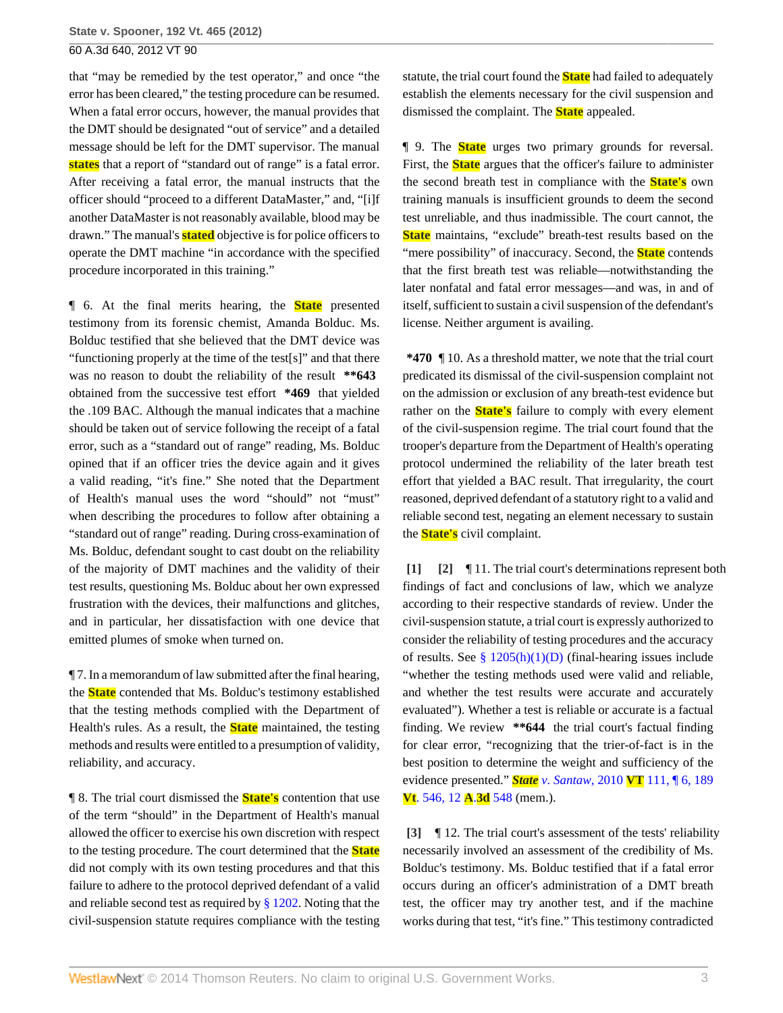that "may be remedied by the test operator," and once "the error has been cleared," the testing procedure can be resumed. When a fatal error occurs, however, the manual provides that the DMT should be designated "out of service" and a detailed message should be left for the DMT supervisor. The manual **states** that a report of "standard out of range" is a fatal error. After receiving a fatal error, the manual instructs that the officer should "proceed to a different DataMaster," and, "[i]f another DataMaster is not reasonably available, blood may be drawn." The manual's **stated** objective is for police officers to operate the DMT machine "in accordance with the specified procedure incorporated in this training."

¶ 6. At the final merits hearing, the **State** presented testimony from its forensic chemist, Amanda Bolduc. Ms. Bolduc testified that she believed that the DMT device was "functioning properly at the time of the test[s]" and that there was no reason to doubt the reliability of the result **\*\*643** obtained from the successive test effort **\*469** that yielded the .109 BAC. Although the manual indicates that a machine should be taken out of service following the receipt of a fatal error, such as a "standard out of range" reading, Ms. Bolduc opined that if an officer tries the device again and it gives a valid reading, "it's fine." She noted that the Department of Health's manual uses the word "should" not "must" when describing the procedures to follow after obtaining a "standard out of range" reading. During cross-examination of Ms. Bolduc, defendant sought to cast doubt on the reliability of the majority of DMT machines and the validity of their test results, questioning Ms. Bolduc about her own expressed frustration with the devices, their malfunctions and glitches, and in particular, her dissatisfaction with one device that emitted plumes of smoke when turned on.

¶ 7. In a memorandum of law submitted after the final hearing, the **State** contended that Ms. Bolduc's testimony established that the testing methods complied with the Department of Health's rules. As a result, the **State** maintained, the testing methods and results were entitled to a presumption of validity, reliability, and accuracy.

¶ 8. The trial court dismissed the **State's** contention that use of the term "should" in the Department of Health's manual allowed the officer to exercise his own discretion with respect to the testing procedure. The court determined that the **State** did not comply with its own testing procedures and that this failure to adhere to the protocol deprived defendant of a valid and reliable second test as required by [§ 1202](http://www.westlaw.com/Link/Document/FullText?findType=L&pubNum=1000883&cite=VTST23S1202&originatingDoc=Ida65e22e1a1d11e2b60bb297d3d07bc5&refType=LQ&originationContext=document&vr=3.0&rs=cblt1.0&transitionType=DocumentItem&contextData=(sc.Search)). Noting that the civil-suspension statute requires compliance with the testing statute, the trial court found the **State** had failed to adequately establish the elements necessary for the civil suspension and dismissed the complaint. The **State** appealed.

¶ 9. The **State** urges two primary grounds for reversal. First, the **State** argues that the officer's failure to administer the second breath test in compliance with the **State's** own training manuals is insufficient grounds to deem the second test unreliable, and thus inadmissible. The court cannot, the **State** maintains, "exclude" breath-test results based on the "mere possibility" of inaccuracy. Second, the **State** contends that the first breath test was reliable—notwithstanding the later nonfatal and fatal error messages—and was, in and of itself, sufficient to sustain a civil suspension of the defendant's license. Neither argument is availing.

**\*470** ¶ 10. As a threshold matter, we note that the trial court predicated its dismissal of the civil-suspension complaint not on the admission or exclusion of any breath-test evidence but rather on the **State's** failure to comply with every element of the civil-suspension regime. The trial court found that the trooper's departure from the Department of Health's operating protocol undermined the reliability of the later breath test effort that yielded a BAC result. That irregularity, the court reasoned, deprived defendant of a statutory right to a valid and reliable second test, negating an element necessary to sustain the **State's** civil complaint.

<span id="page-2-1"></span><span id="page-2-0"></span>**[\[1\]](#page-0-1) [\[2](#page-0-2)]** ¶ 11. The trial court's determinations represent both findings of fact and conclusions of law, which we analyze according to their respective standards of review. Under the civil-suspension statute, a trial court is expressly authorized to consider the reliability of testing procedures and the accuracy of results. See §  $1205(h)(1)(D)$  (final-hearing issues include "whether the testing methods used were valid and reliable, and whether the test results were accurate and accurately evaluated"). Whether a test is reliable or accurate is a factual finding. We review **\*\*644** the trial court's factual finding for clear error, "recognizing that the trier-of-fact is in the best position to determine the weight and sufficiency of the evidence presented." *State v. Santaw,* 2010 **VT** [111, ¶ 6, 189](http://www.westlaw.com/Link/Document/FullText?findType=Y&serNum=2024172508&pubNum=7691&originationContext=document&vr=3.0&rs=cblt1.0&transitionType=DocumentItem&contextData=(sc.Search)) **Vt**[. 546, 12](http://www.westlaw.com/Link/Document/FullText?findType=Y&serNum=2024172508&pubNum=7691&originationContext=document&vr=3.0&rs=cblt1.0&transitionType=DocumentItem&contextData=(sc.Search)) **A**.**3d** 548 (mem.).

<span id="page-2-2"></span>**[\[3\]](#page-0-0)** ¶ 12. The trial court's assessment of the tests' reliability necessarily involved an assessment of the credibility of Ms. Bolduc's testimony. Ms. Bolduc testified that if a fatal error occurs during an officer's administration of a DMT breath test, the officer may try another test, and if the machine works during that test, "it's fine." This testimony contradicted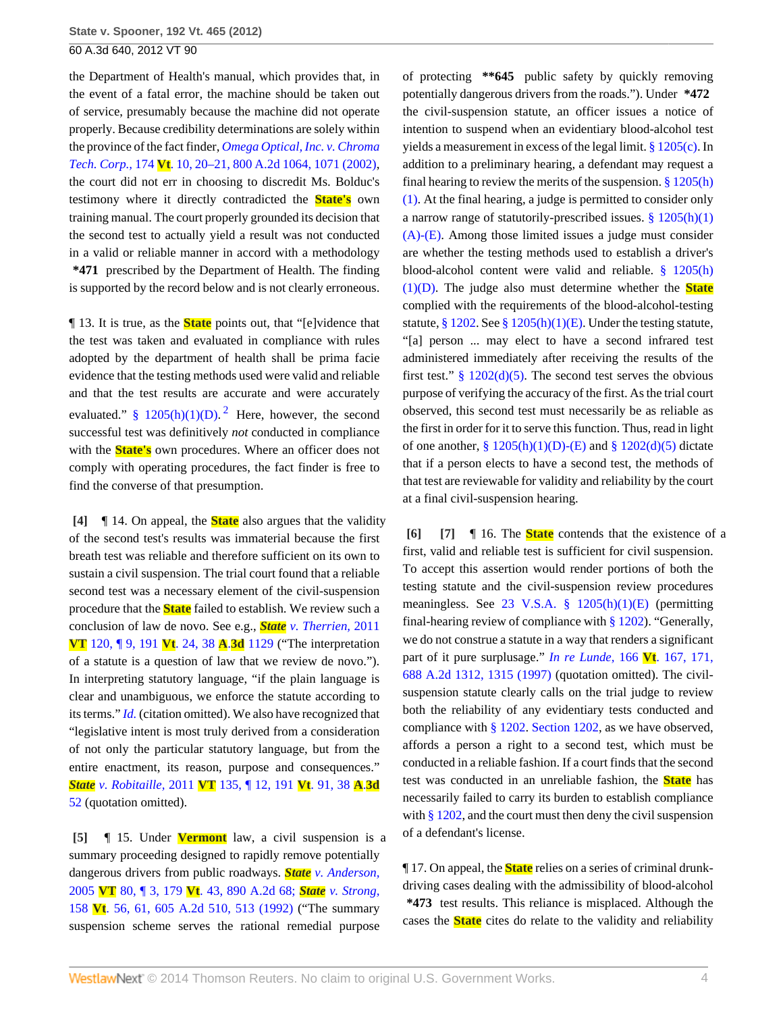the Department of Health's manual, which provides that, in the event of a fatal error, the machine should be taken out of service, presumably because the machine did not operate properly. Because credibility determinations are solely within the province of the fact finder, *[Omega Optical, Inc. v. Chroma](http://www.westlaw.com/Link/Document/FullText?findType=Y&serNum=2002239280&pubNum=162&fi=co_pp_sp_162_1071&originationContext=document&vr=3.0&rs=cblt1.0&transitionType=DocumentItem&contextData=(sc.Search)#co_pp_sp_162_1071) Tech. Corp.,* 174 **Vt**[. 10, 20–21, 800 A.2d 1064, 1071 \(2002\)](http://www.westlaw.com/Link/Document/FullText?findType=Y&serNum=2002239280&pubNum=162&fi=co_pp_sp_162_1071&originationContext=document&vr=3.0&rs=cblt1.0&transitionType=DocumentItem&contextData=(sc.Search)#co_pp_sp_162_1071), the court did not err in choosing to discredit Ms. Bolduc's testimony where it directly contradicted the **State's** own training manual. The court properly grounded its decision that the second test to actually yield a result was not conducted in a valid or reliable manner in accord with a methodology **\*471** prescribed by the Department of Health. The finding is supported by the record below and is not clearly erroneous.

<span id="page-3-4"></span>¶ 13. It is true, as the **State** points out, that "[e]vidence that the test was taken and evaluated in compliance with rules adopted by the department of health shall be prima facie evidence that the testing methods used were valid and reliable and that the test results are accurate and were accurately evaluated." §  $1205(h)(1)(D)$  $1205(h)(1)(D)$  $1205(h)(1)(D)$ .<sup>2</sup> Here, however, the second successful test was definitively *not* conducted in compliance with the **State's** own procedures. Where an officer does not comply with operating procedures, the fact finder is free to find the converse of that presumption.

<span id="page-3-0"></span>**[\[4\]](#page-0-3)** ¶ 14. On appeal, the **State** also argues that the validity of the second test's results was immaterial because the first breath test was reliable and therefore sufficient on its own to sustain a civil suspension. The trial court found that a reliable second test was a necessary element of the civil-suspension procedure that the **State** failed to establish. We review such a conclusion of law de novo. See e.g., *State [v. Therrien,](http://www.westlaw.com/Link/Document/FullText?findType=Y&serNum=2026459528&pubNum=7691&originationContext=document&vr=3.0&rs=cblt1.0&transitionType=DocumentItem&contextData=(sc.Search))* 2011 **VT** [120, ¶ 9, 191](http://www.westlaw.com/Link/Document/FullText?findType=Y&serNum=2026459528&pubNum=7691&originationContext=document&vr=3.0&rs=cblt1.0&transitionType=DocumentItem&contextData=(sc.Search)) **Vt**. 24, 38 **A**.**3d** 1129 ("The interpretation of a statute is a question of law that we review de novo."). In interpreting statutory language, "if the plain language is clear and unambiguous, we enforce the statute according to its terms." *[Id.](http://www.westlaw.com/Link/Document/FullText?findType=Y&serNum=2026459528&originationContext=document&vr=3.0&rs=cblt1.0&transitionType=DocumentItem&contextData=(sc.Search))* (citation omitted). We also have recognized that "legislative intent is most truly derived from a consideration of not only the particular statutory language, but from the entire enactment, its reason, purpose and consequences." *State v. Robitaille,* 2011 **VT** [135, ¶ 12, 191](http://www.westlaw.com/Link/Document/FullText?findType=Y&serNum=2026679529&pubNum=7691&originationContext=document&vr=3.0&rs=cblt1.0&transitionType=DocumentItem&contextData=(sc.Search)) **Vt**. 91, 38 **A**.**3d** [52](http://www.westlaw.com/Link/Document/FullText?findType=Y&serNum=2026679529&pubNum=7691&originationContext=document&vr=3.0&rs=cblt1.0&transitionType=DocumentItem&contextData=(sc.Search)) (quotation omitted).

<span id="page-3-1"></span>**[\[5\]](#page-0-4)** ¶ 15. Under **Vermont** law, a civil suspension is a summary proceeding designed to rapidly remove potentially dangerous drivers from public roadways. *State [v. Anderson,](http://www.westlaw.com/Link/Document/FullText?findType=Y&serNum=2006986122&pubNum=162&originationContext=document&vr=3.0&rs=cblt1.0&transitionType=DocumentItem&contextData=(sc.Search))* 2005 **VT** 80, ¶ 3, 179 **Vt**[. 43, 890 A.2d 68;](http://www.westlaw.com/Link/Document/FullText?findType=Y&serNum=2006986122&pubNum=162&originationContext=document&vr=3.0&rs=cblt1.0&transitionType=DocumentItem&contextData=(sc.Search)) *State [v. Strong,](http://www.westlaw.com/Link/Document/FullText?findType=Y&serNum=1992056062&pubNum=162&fi=co_pp_sp_162_513&originationContext=document&vr=3.0&rs=cblt1.0&transitionType=DocumentItem&contextData=(sc.Search)#co_pp_sp_162_513)* 158 **Vt**[. 56, 61, 605 A.2d 510, 513 \(1992\)](http://www.westlaw.com/Link/Document/FullText?findType=Y&serNum=1992056062&pubNum=162&fi=co_pp_sp_162_513&originationContext=document&vr=3.0&rs=cblt1.0&transitionType=DocumentItem&contextData=(sc.Search)#co_pp_sp_162_513) ("The summary suspension scheme serves the rational remedial purpose

of protecting **\*\*645** public safety by quickly removing potentially dangerous drivers from the roads."). Under **\*472** the civil-suspension statute, an officer issues a notice of intention to suspend when an evidentiary blood-alcohol test yields a measurement in excess of the legal limit. [§ 1205\(c\)](http://www.westlaw.com/Link/Document/FullText?findType=L&pubNum=1000883&cite=VTST23S1205&originatingDoc=Ida65e22e1a1d11e2b60bb297d3d07bc5&refType=SP&originationContext=document&vr=3.0&rs=cblt1.0&transitionType=DocumentItem&contextData=(sc.Search)#co_pp_4b24000003ba5). In addition to a preliminary hearing, a defendant may request a final hearing to review the merits of the suspension.  $\S 1205(h)$ [\(1\).](http://www.westlaw.com/Link/Document/FullText?findType=L&pubNum=1000883&cite=VTST23S1205&originatingDoc=Ida65e22e1a1d11e2b60bb297d3d07bc5&refType=SP&originationContext=document&vr=3.0&rs=cblt1.0&transitionType=DocumentItem&contextData=(sc.Search)#co_pp_b4e500006fdf6) At the final hearing, a judge is permitted to consider only a narrow range of statutorily-prescribed issues.  $§ 1205(h)(1)$ [\(A\)-\(E\).](http://www.westlaw.com/Link/Document/FullText?findType=L&pubNum=1000883&cite=VTST23S1205&originatingDoc=Ida65e22e1a1d11e2b60bb297d3d07bc5&refType=SP&originationContext=document&vr=3.0&rs=cblt1.0&transitionType=DocumentItem&contextData=(sc.Search)#co_pp_b4e500006fdf6) Among those limited issues a judge must consider are whether the testing methods used to establish a driver's blood-alcohol content were valid and reliable. [§ 1205\(h\)](http://www.westlaw.com/Link/Document/FullText?findType=L&pubNum=1000883&cite=VTST23S1205&originatingDoc=Ida65e22e1a1d11e2b60bb297d3d07bc5&refType=SP&originationContext=document&vr=3.0&rs=cblt1.0&transitionType=DocumentItem&contextData=(sc.Search)#co_pp_b4e500006fdf6) [\(1\)\(D\).](http://www.westlaw.com/Link/Document/FullText?findType=L&pubNum=1000883&cite=VTST23S1205&originatingDoc=Ida65e22e1a1d11e2b60bb297d3d07bc5&refType=SP&originationContext=document&vr=3.0&rs=cblt1.0&transitionType=DocumentItem&contextData=(sc.Search)#co_pp_b4e500006fdf6) The judge also must determine whether the **State** complied with the requirements of the blood-alcohol-testing statute, [§ 1202](http://www.westlaw.com/Link/Document/FullText?findType=L&pubNum=1000883&cite=VTST23S1202&originatingDoc=Ida65e22e1a1d11e2b60bb297d3d07bc5&refType=LQ&originationContext=document&vr=3.0&rs=cblt1.0&transitionType=DocumentItem&contextData=(sc.Search)). See [§ 1205\(h\)\(1\)\(E\).](http://www.westlaw.com/Link/Document/FullText?findType=L&pubNum=1000883&cite=VTST23S1205&originatingDoc=Ida65e22e1a1d11e2b60bb297d3d07bc5&refType=SP&originationContext=document&vr=3.0&rs=cblt1.0&transitionType=DocumentItem&contextData=(sc.Search)#co_pp_b4e500006fdf6) Under the testing statute, "[a] person ... may elect to have a second infrared test administered immediately after receiving the results of the first test."  $\frac{8}{9}$  1202(d)(5). The second test serves the obvious purpose of verifying the accuracy of the first. As the trial court observed, this second test must necessarily be as reliable as the first in order for it to serve this function. Thus, read in light of one another,  $\S 1205(h)(1)(D)-(E)$  and  $\S 1202(d)(5)$  dictate that if a person elects to have a second test, the methods of that test are reviewable for validity and reliability by the court at a final civil-suspension hearing.

<span id="page-3-3"></span><span id="page-3-2"></span>**[\[6\]](#page-1-0) [\[7\]](#page-1-1)** ¶ 16. The **State** contends that the existence of a first, valid and reliable test is sufficient for civil suspension. To accept this assertion would render portions of both the testing statute and the civil-suspension review procedures meaningless. See [23 V.S.A. § 1205\(h\)\(1\)\(E\)](http://www.westlaw.com/Link/Document/FullText?findType=L&pubNum=1000883&cite=VTST23S1205&originatingDoc=Ida65e22e1a1d11e2b60bb297d3d07bc5&refType=SP&originationContext=document&vr=3.0&rs=cblt1.0&transitionType=DocumentItem&contextData=(sc.Search)#co_pp_b4e500006fdf6) (permitting final-hearing review of compliance with  $\S 1202$ . "Generally, we do not construe a statute in a way that renders a significant part of it pure surplusage." *[In re Lunde,](http://www.westlaw.com/Link/Document/FullText?findType=Y&serNum=1997049970&pubNum=162&fi=co_pp_sp_162_1315&originationContext=document&vr=3.0&rs=cblt1.0&transitionType=DocumentItem&contextData=(sc.Search)#co_pp_sp_162_1315)* 166 **Vt**. 167, 171, [688 A.2d 1312, 1315 \(1997\)](http://www.westlaw.com/Link/Document/FullText?findType=Y&serNum=1997049970&pubNum=162&fi=co_pp_sp_162_1315&originationContext=document&vr=3.0&rs=cblt1.0&transitionType=DocumentItem&contextData=(sc.Search)#co_pp_sp_162_1315) (quotation omitted). The civilsuspension statute clearly calls on the trial judge to review both the reliability of any evidentiary tests conducted and compliance with [§ 1202](http://www.westlaw.com/Link/Document/FullText?findType=L&pubNum=1000883&cite=VTST23S1202&originatingDoc=Ida65e22e1a1d11e2b60bb297d3d07bc5&refType=LQ&originationContext=document&vr=3.0&rs=cblt1.0&transitionType=DocumentItem&contextData=(sc.Search)). [Section 1202](http://www.westlaw.com/Link/Document/FullText?findType=L&pubNum=1000883&cite=VTST23S1202&originatingDoc=Ida65e22e1a1d11e2b60bb297d3d07bc5&refType=LQ&originationContext=document&vr=3.0&rs=cblt1.0&transitionType=DocumentItem&contextData=(sc.Search)), as we have observed, affords a person a right to a second test, which must be conducted in a reliable fashion. If a court finds that the second test was conducted in an unreliable fashion, the **State** has necessarily failed to carry its burden to establish compliance with [§ 1202,](http://www.westlaw.com/Link/Document/FullText?findType=L&pubNum=1000883&cite=VTST23S1202&originatingDoc=Ida65e22e1a1d11e2b60bb297d3d07bc5&refType=LQ&originationContext=document&vr=3.0&rs=cblt1.0&transitionType=DocumentItem&contextData=(sc.Search)) and the court must then deny the civil suspension of a defendant's license.

¶ 17. On appeal, the **State** relies on a series of criminal drunkdriving cases dealing with the admissibility of blood-alcohol **\*473** test results. This reliance is misplaced. Although the cases the **State** cites do relate to the validity and reliability